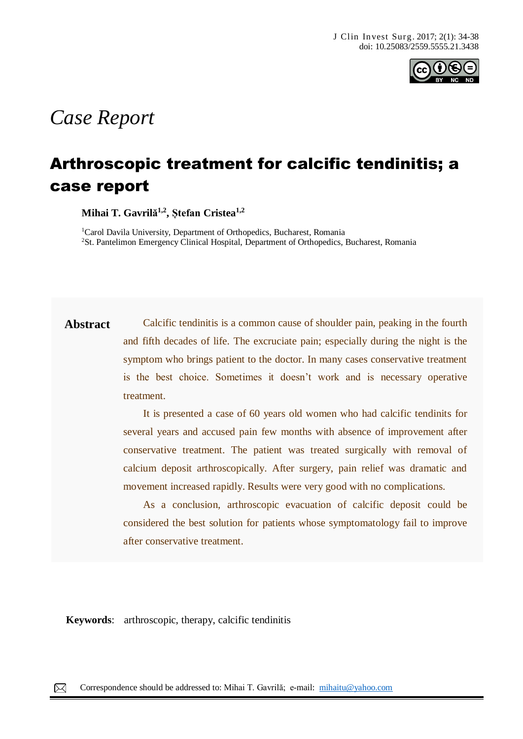

# *Case Report*

## Arthroscopic treatment for calcific tendinitis; a case report

**Mihai T. Gavrilă 1,2 , Ștefan Cristea1,2**

<sup>1</sup>Carol Davila University, Department of Orthopedics, Bucharest, Romania <sup>2</sup>St. Pantelimon Emergency Clinical Hospital, Department of Orthopedics, Bucharest, Romania

**Abstract** Calcific tendinitis is a common cause of shoulder pain, peaking in the fourth and fifth decades of life. The excruciate pain; especially during the night is the symptom who brings patient to the doctor. In many cases conservative treatment is the best choice. Sometimes it doesn't work and is necessary operative treatment.

> It is presented a case of 60 years old women who had calcific tendinits for several years and accused pain few months with absence of improvement after conservative treatment. The patient was treated surgically with removal of calcium deposit arthroscopically. After surgery, pain relief was dramatic and movement increased rapidly. Results were very good with no complications.

> As a conclusion, arthroscopic evacuation of calcific deposit could be considered the best solution for patients whose symptomatology fail to improve after conservative treatment.

**Keywords**: arthroscopic, therapy, calcific tendinitis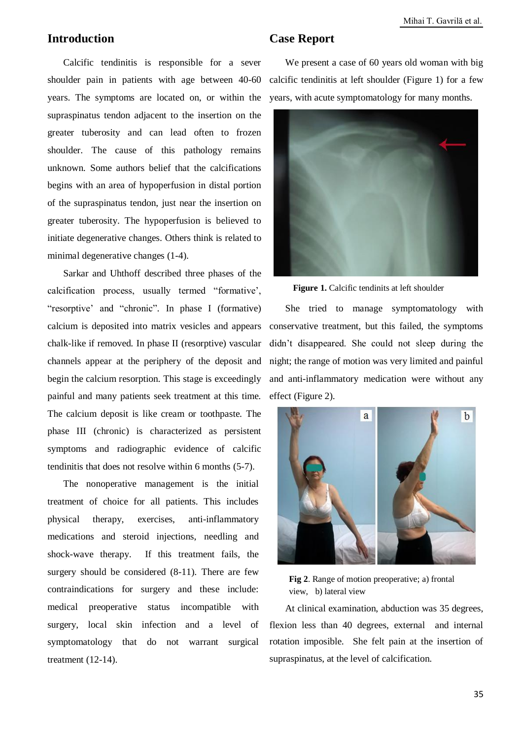### **Introduction**

Calcific tendinitis is responsible for a sever shoulder pain in patients with age between 40-60 years. The symptoms are located on, or within the supraspinatus tendon adjacent to the insertion on the greater tuberosity and can lead often to frozen shoulder. The cause of this pathology remains unknown. Some authors belief that the calcifications begins with an area of hypoperfusion in distal portion of the supraspinatus tendon, just near the insertion on greater tuberosity. The hypoperfusion is believed to initiate degenerative changes. Others think is related to minimal degenerative changes (1-4).

Sarkar and Uhthoff described three phases of the calcification process, usually termed "formative', "resorptive' and "chronic". In phase I (formative) calcium is deposited into matrix vesicles and appears chalk-like if removed. In phase II (resorptive) vascular channels appear at the periphery of the deposit and begin the calcium resorption. This stage is exceedingly painful and many patients seek treatment at this time. The calcium deposit is like cream or toothpaste. The phase III (chronic) is characterized as persistent symptoms and radiographic evidence of calcific tendinitis that does not resolve within 6 months (5-7).

The nonoperative management is the initial treatment of choice for all patients. This includes physical therapy, exercises, anti-inflammatory medications and steroid injections, needling and shock-wave therapy. If this treatment fails, the surgery should be considered (8-11). There are few contraindications for surgery and these include: medical preoperative status incompatible with surgery, local skin infection and a level of symptomatology that do not warrant surgical treatment (12-14).

#### **Case Report**

We present a case of 60 years old woman with big calcific tendinitis at left shoulder (Figure 1) for a few years, with acute symptomatology for many months.



**Figure 1.** Calcific tendinits at left shoulder

She tried to manage symptomatology with conservative treatment, but this failed, the symptoms didn't disappeared. She could not sleep during the night; the range of motion was very limited and painful and anti-inflammatory medication were without any effect (Figure 2).



**Fig 2**. Range of motion preoperative; a) frontal view, b) lateral view

At clinical examination, abduction was 35 degrees, flexion less than 40 degrees, external and internal rotation imposible. She felt pain at the insertion of supraspinatus, at the level of calcification.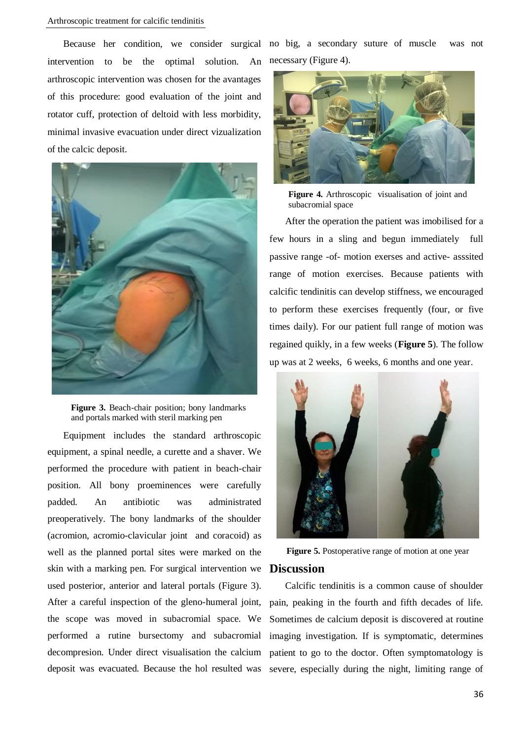intervention to be the optimal solution. An arthroscopic intervention was chosen for the avantages of this procedure: good evaluation of the joint and rotator cuff, protection of deltoid with less morbidity, minimal invasive evacuation under direct vizualization of the calcic deposit.



**Figure 3.** Beach-chair position; bony landmarks and portals marked with steril marking pen

Equipment includes the standard arthroscopic equipment, a spinal needle, a curette and a shaver. We performed the procedure with patient in beach-chair position. All bony proeminences were carefully padded. An antibiotic was administrated preoperatively. The bony landmarks of the shoulder (acromion, acromio-clavicular joint and coracoid) as well as the planned portal sites were marked on the skin with a marking pen. For surgical intervention we used posterior, anterior and lateral portals (Figure 3). After a careful inspection of the gleno-humeral joint, the scope was moved in subacromial space. We performed a rutine bursectomy and subacromial decompresion. Under direct visualisation the calcium deposit was evacuated. Because the hol resulted was

Because her condition, we consider surgical no big, a secondary suture of muscle was not necessary (Figure 4).



**Figure 4.** Arthroscopic visualisation of joint and subacromial space

After the operation the patient was imobilised for a few hours in a sling and begun immediately full passive range -of- motion exerses and active- asssited range of motion exercises. Because patients with calcific tendinitis can develop stiffness, we encouraged to perform these exercises frequently (four, or five times daily). For our patient full range of motion was regained quikly, in a few weeks (**Figure 5**). The follow up was at 2 weeks, 6 weeks, 6 months and one year.



**Figure 5.** Postoperative range of motion at one year **Discussion** 

Calcific tendinitis is a common cause of shoulder pain, peaking in the fourth and fifth decades of life. Sometimes de calcium deposit is discovered at routine imaging investigation. If is symptomatic, determines patient to go to the doctor. Often symptomatology is severe, especially during the night, limiting range of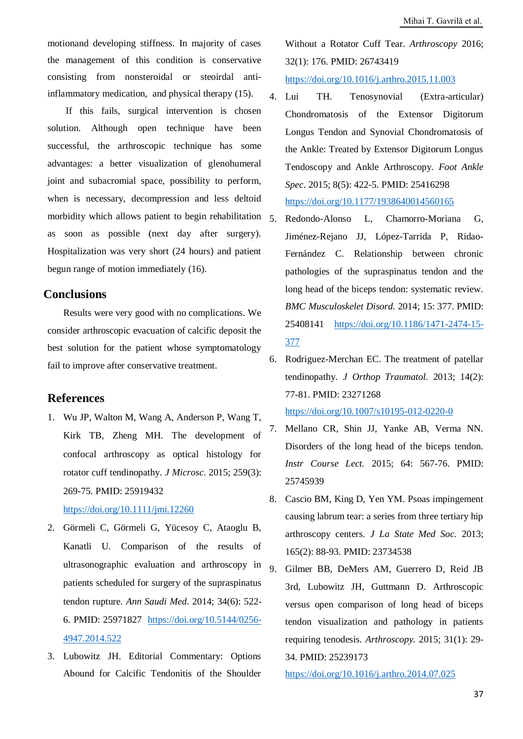motionand developing stiffness. In majority of cases the management of this condition is conservative consisting from nonsteroidal or steoirdal antiinflammatory medication, and physical therapy (15).

If this fails, surgical intervention is chosen solution. Although open technique have been successful, the arthroscopic technique has some advantages: a better visualization of glenohumeral joint and subacromial space, possibility to perform, when is necessary, decompression and less deltoid morbidity which allows patient to begin rehabilitation  $\zeta$ as soon as possible (next day after surgery). Hospitalization was very short (24 hours) and patient begun range of motion immediately (16).

#### **Conclusions**

Results were very good with no complications. We consider arthroscopic evacuation of calcific deposit the best solution for the patient whose symptomatology fail to improve after conservative treatment.

#### **References**

1. Wu JP, Walton M, Wang A, Anderson P, Wang T, Kirk TB, Zheng MH. The development of confocal arthroscopy as optical histology for rotator cuff tendinopathy. *J Microsc*. 2015; 259(3): 269-75. PMID: 25919432

<https://doi.org/10.1111/jmi.12260>

- 2. Görmeli C, Görmeli G, Yücesoy C, Ataoglu B, Kanatli U. Comparison of the results of ultrasonographic evaluation and arthroscopy in  $9$ . patients scheduled for surgery of the supraspinatus tendon rupture. *Ann Saudi Med*. 2014; 34(6): 522- 6. PMID: 25971827 [https://doi.org/10.5144/0256-](https://doi.org/10.5144/0256-4947.2014.522) [4947.2014.522](https://doi.org/10.5144/0256-4947.2014.522)
- 3. Lubowitz JH. Editorial Commentary: Options Abound for Calcific Tendonitis of the Shoulder

Without a Rotator Cuff Tear. *Arthroscopy* 2016; 32(1): 176. PMID: 26743419 <https://doi.org/10.1016/j.arthro.2015.11.003>

- 4. Lui TH. Tenosynovial (Extra-articular) Chondromatosis of the Extensor Digitorum Longus Tendon and Synovial Chondromatosis of the Ankle: Treated by Extensor Digitorum Longus Tendoscopy and Ankle Arthroscopy. *Foot Ankle Spec*. 2015; 8(5): 422-5. PMID: 25416298 <https://doi.org/10.1177/1938640014560165>
- 5. Redondo-Alonso L, Chamorro-Moriana G, Jiménez-Rejano JJ, López-Tarrida P, Ridao-Fernández C. Relationship between chronic pathologies of the supraspinatus tendon and the long head of the biceps tendon: systematic review. *BMC Musculoskelet Disord.* 2014; 15: 377. PMID: 25408141 [https://doi.org/10.1186/1471-2474-15-](https://doi.org/10.1186/1471-2474-15-377) [377](https://doi.org/10.1186/1471-2474-15-377)
- 6. Rodriguez-Merchan EC. The treatment of patellar tendinopathy. *J Orthop Traumatol.* 2013; 14(2): 77-81. PMID: 23271268 <https://doi.org/10.1007/s10195-012-0220-0>

7. Mellano CR, Shin JJ, Yanke AB, Verma NN. Disorders of the long head of the biceps tendon. *Instr Course Lect.* 2015; 64: 567-76. PMID: 25745939

- 8. Cascio BM, King D, Yen YM. Psoas impingement causing labrum tear: a series from three tertiary hip arthroscopy centers*. J La State Med Soc.* 2013; 165(2): 88-93. PMID: 23734538
- 9. Gilmer BB, DeMers AM, Guerrero D, Reid JB 3rd, Lubowitz JH, Guttmann D. Arthroscopic versus open comparison of long head of biceps tendon visualization and pathology in patients requiring tenodesis. *Arthroscopy.* 2015; 31(1): 29- 34. PMID: 25239173

<https://doi.org/10.1016/j.arthro.2014.07.025>